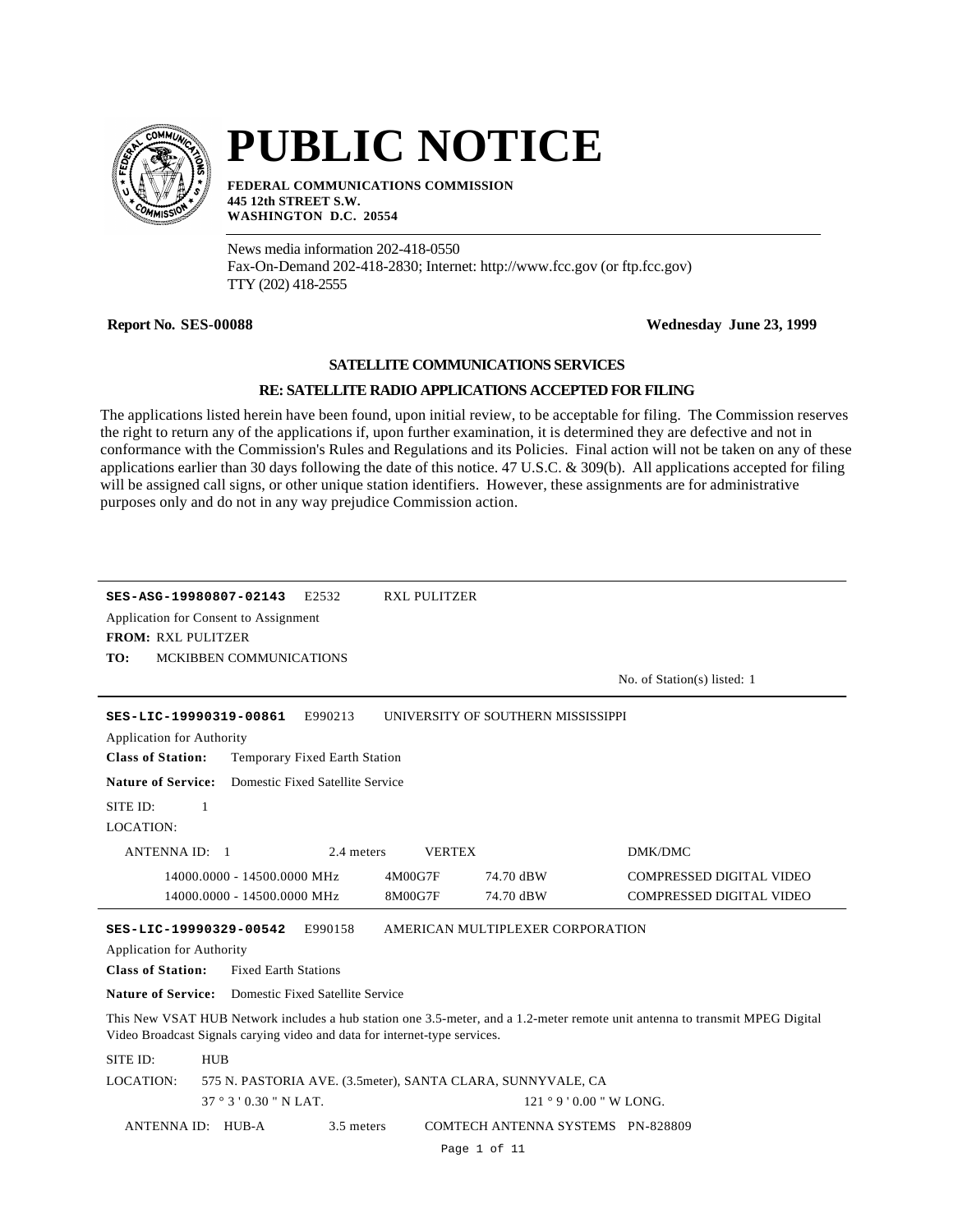

# **PUBLIC NOTICE**

**FEDERAL COMMUNICATIONS COMMISSION 445 12th STREET S.W. WASHINGTON D.C. 20554**

News media information 202-418-0550 Fax-On-Demand 202-418-2830; Internet: http://www.fcc.gov (or ftp.fcc.gov) TTY (202) 418-2555

#### **Report No. SES-00088 Wednesday June 23, 1999**

#### **SATELLITE COMMUNICATIONS SERVICES**

#### **RE: SATELLITE RADIO APPLICATIONS ACCEPTED FOR FILING**

The applications listed herein have been found, upon initial review, to be acceptable for filing. The Commission reserves the right to return any of the applications if, upon further examination, it is determined they are defective and not in conformance with the Commission's Rules and Regulations and its Policies. Final action will not be taken on any of these applications earlier than 30 days following the date of this notice. 47 U.S.C. & 309(b). All applications accepted for filing will be assigned call signs, or other unique station identifiers. However, these assignments are for administrative purposes only and do not in any way prejudice Commission action.

|                                                                                                                                                                                                            | SES-ASG-19980807-02143      | E2532                            | <b>RXL PULITZER</b> |                                                             |                                 |  |  |
|------------------------------------------------------------------------------------------------------------------------------------------------------------------------------------------------------------|-----------------------------|----------------------------------|---------------------|-------------------------------------------------------------|---------------------------------|--|--|
| Application for Consent to Assignment<br><b>FROM: RXL PULITZER</b>                                                                                                                                         |                             |                                  |                     |                                                             |                                 |  |  |
| TO:                                                                                                                                                                                                        | MCKIBBEN COMMUNICATIONS     |                                  |                     |                                                             |                                 |  |  |
|                                                                                                                                                                                                            |                             |                                  |                     |                                                             | No. of Station(s) listed: 1     |  |  |
|                                                                                                                                                                                                            | SES-LIC-19990319-00861      | E990213                          |                     | UNIVERSITY OF SOUTHERN MISSISSIPPI                          |                                 |  |  |
| <b>Application for Authority</b>                                                                                                                                                                           |                             |                                  |                     |                                                             |                                 |  |  |
| <b>Class of Station:</b>                                                                                                                                                                                   |                             | Temporary Fixed Earth Station    |                     |                                                             |                                 |  |  |
| <b>Nature of Service:</b>                                                                                                                                                                                  |                             | Domestic Fixed Satellite Service |                     |                                                             |                                 |  |  |
| SITE ID:                                                                                                                                                                                                   | 1                           |                                  |                     |                                                             |                                 |  |  |
| LOCATION:                                                                                                                                                                                                  |                             |                                  |                     |                                                             |                                 |  |  |
| <b>ANTENNA ID: 1</b>                                                                                                                                                                                       |                             | 2.4 meters                       | <b>VERTEX</b>       |                                                             | DMK/DMC                         |  |  |
|                                                                                                                                                                                                            | 14000.0000 - 14500.0000 MHz |                                  | 4M00G7F             | 74.70 dBW                                                   | <b>COMPRESSED DIGITAL VIDEO</b> |  |  |
|                                                                                                                                                                                                            | 14000.0000 - 14500.0000 MHz |                                  | 8M00G7F             | 74.70 dBW                                                   | <b>COMPRESSED DIGITAL VIDEO</b> |  |  |
|                                                                                                                                                                                                            | SES-LIC-19990329-00542      | E990158                          |                     | AMERICAN MULTIPLEXER CORPORATION                            |                                 |  |  |
| <b>Application for Authority</b>                                                                                                                                                                           |                             |                                  |                     |                                                             |                                 |  |  |
| <b>Class of Station:</b>                                                                                                                                                                                   | <b>Fixed Earth Stations</b> |                                  |                     |                                                             |                                 |  |  |
| <b>Nature of Service:</b> Domestic Fixed Satellite Service                                                                                                                                                 |                             |                                  |                     |                                                             |                                 |  |  |
| This New VSAT HUB Network includes a hub station one 3.5-meter, and a 1.2-meter remote unit antenna to transmit MPEG Digital<br>Video Broadcast Signals carying video and data for internet-type services. |                             |                                  |                     |                                                             |                                 |  |  |
| SITE ID:                                                                                                                                                                                                   | <b>HUB</b>                  |                                  |                     |                                                             |                                 |  |  |
| LOCATION:                                                                                                                                                                                                  |                             |                                  |                     | 575 N. PASTORIA AVE. (3.5meter), SANTA CLARA, SUNNYVALE, CA |                                 |  |  |
|                                                                                                                                                                                                            | $37°3'0.30"$ N LAT.         |                                  |                     | $121°9'0.00''$ W LONG.                                      |                                 |  |  |
|                                                                                                                                                                                                            | ANTENNA ID: HUB-A           | 3.5 meters                       |                     | COMTECH ANTENNA SYSTEMS PN-828809                           |                                 |  |  |
|                                                                                                                                                                                                            |                             |                                  |                     | Page 1 of 11                                                |                                 |  |  |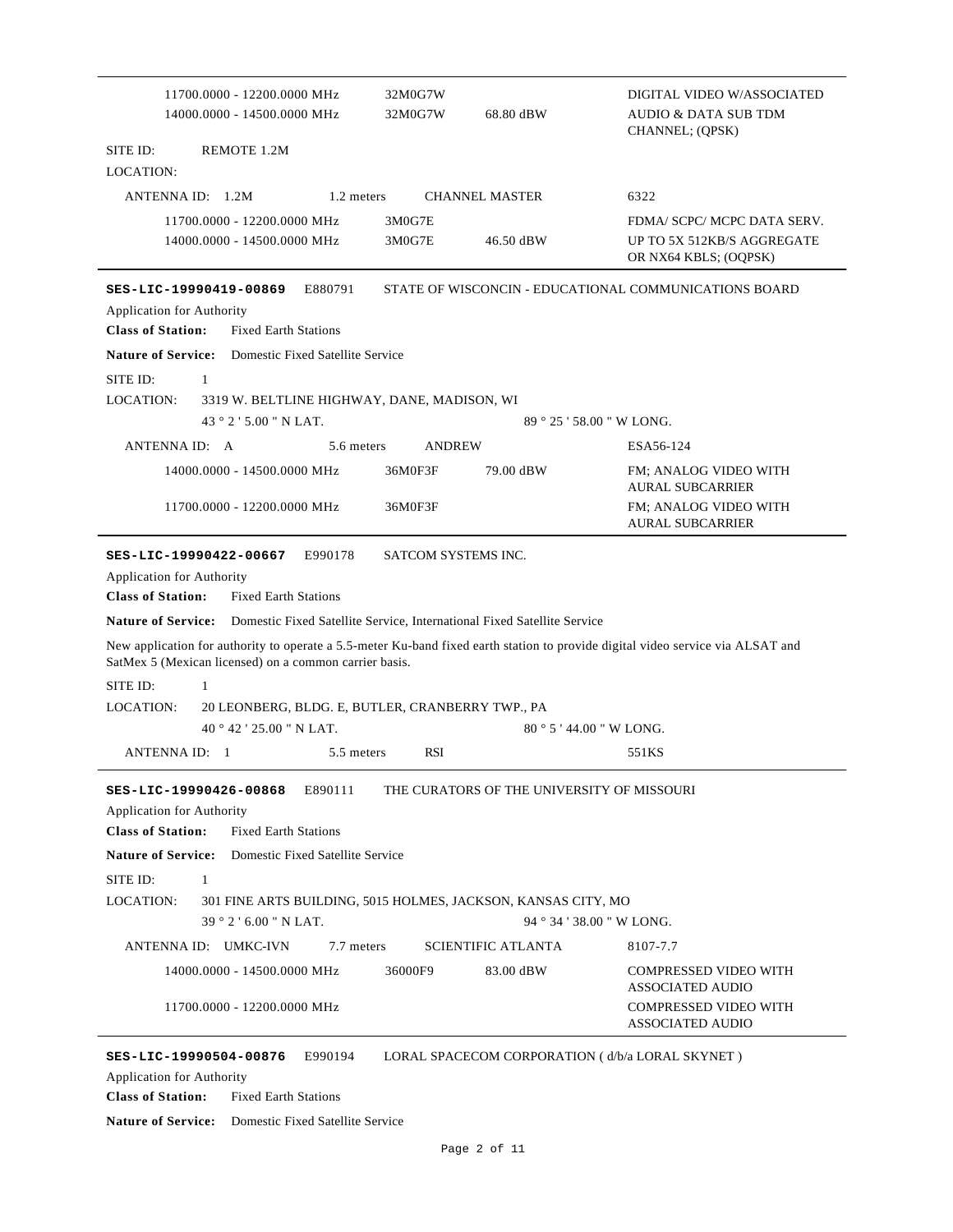| 11700.0000 - 12200.0000 MHz<br>14000.0000 - 14500.0000 MHz                                                                                                                                                                                                                                                                                                                                                                                                                                                                                                                              | 32M0G7W<br>32M0G7W                | 68.80 dBW                                  | DIGITAL VIDEO W/ASSOCIATED<br><b>AUDIO &amp; DATA SUB TDM</b><br>CHANNEL; (QPSK)   |
|-----------------------------------------------------------------------------------------------------------------------------------------------------------------------------------------------------------------------------------------------------------------------------------------------------------------------------------------------------------------------------------------------------------------------------------------------------------------------------------------------------------------------------------------------------------------------------------------|-----------------------------------|--------------------------------------------|------------------------------------------------------------------------------------|
| SITE ID:<br>REMOTE 1.2M                                                                                                                                                                                                                                                                                                                                                                                                                                                                                                                                                                 |                                   |                                            |                                                                                    |
| LOCATION:                                                                                                                                                                                                                                                                                                                                                                                                                                                                                                                                                                               |                                   |                                            |                                                                                    |
| ANTENNA ID: 1.2M<br>1.2 meters                                                                                                                                                                                                                                                                                                                                                                                                                                                                                                                                                          |                                   | <b>CHANNEL MASTER</b>                      | 6322                                                                               |
| 11700.0000 - 12200.0000 MHz<br>14000.0000 - 14500.0000 MHz                                                                                                                                                                                                                                                                                                                                                                                                                                                                                                                              | 3M0G7E<br>3M0G7E                  | 46.50 dBW                                  | FDMA/ SCPC/ MCPC DATA SERV.<br>UP TO 5X 512KB/S AGGREGATE<br>OR NX64 KBLS; (OQPSK) |
| E880791<br>SES-LIC-19990419-00869<br><b>Application for Authority</b><br><b>Class of Station:</b><br><b>Fixed Earth Stations</b>                                                                                                                                                                                                                                                                                                                                                                                                                                                        |                                   |                                            | STATE OF WISCONCIN - EDUCATIONAL COMMUNICATIONS BOARD                              |
| <b>Nature of Service:</b> Domestic Fixed Satellite Service                                                                                                                                                                                                                                                                                                                                                                                                                                                                                                                              |                                   |                                            |                                                                                    |
| SITE ID:<br>1                                                                                                                                                                                                                                                                                                                                                                                                                                                                                                                                                                           |                                   |                                            |                                                                                    |
| LOCATION:<br>3319 W. BELTLINE HIGHWAY, DANE, MADISON, WI                                                                                                                                                                                                                                                                                                                                                                                                                                                                                                                                |                                   |                                            |                                                                                    |
| 43°2'5.00" N LAT.                                                                                                                                                                                                                                                                                                                                                                                                                                                                                                                                                                       |                                   |                                            | $89°25'58.00''$ W LONG.                                                            |
| ANTENNA ID: A<br>5.6 meters                                                                                                                                                                                                                                                                                                                                                                                                                                                                                                                                                             | <b>ANDREW</b>                     |                                            | ESA56-124                                                                          |
| 14000.0000 - 14500.0000 MHz                                                                                                                                                                                                                                                                                                                                                                                                                                                                                                                                                             | 36M0F3F                           | 79.00 dBW                                  | FM; ANALOG VIDEO WITH<br><b>AURAL SUBCARRIER</b>                                   |
| 11700.0000 - 12200.0000 MHz                                                                                                                                                                                                                                                                                                                                                                                                                                                                                                                                                             | 36M0F3F                           |                                            | FM; ANALOG VIDEO WITH<br><b>AURAL SUBCARRIER</b>                                   |
| E990178<br>SES-LIC-19990422-00667<br><b>Application for Authority</b><br><b>Class of Station:</b><br><b>Fixed Earth Stations</b><br><b>Nature of Service:</b><br>Domestic Fixed Satellite Service, International Fixed Satellite Service<br>New application for authority to operate a 5.5-meter Ku-band fixed earth station to provide digital video service via ALSAT and<br>SatMex 5 (Mexican licensed) on a common carrier basis.<br>SITE ID:<br>1<br>LOCATION:<br>20 LEONBERG, BLDG. E, BUTLER, CRANBERRY TWP., PA<br>$40^{\circ}42'25.00''$ N LAT.<br>ANTENNA ID: 1<br>5.5 meters | SATCOM SYSTEMS INC.<br><b>RSI</b> |                                            | $80^{\circ}$ 5 ' 44.00 " W LONG.<br>551KS                                          |
| SES-LIC-19990426-00868<br>E890111<br><b>Application for Authority</b><br><b>Class of Station:</b><br><b>Fixed Earth Stations</b>                                                                                                                                                                                                                                                                                                                                                                                                                                                        |                                   | THE CURATORS OF THE UNIVERSITY OF MISSOURI |                                                                                    |
| <b>Nature of Service:</b><br>Domestic Fixed Satellite Service                                                                                                                                                                                                                                                                                                                                                                                                                                                                                                                           |                                   |                                            |                                                                                    |
| $\mathbf{1}$<br>SITE ID:                                                                                                                                                                                                                                                                                                                                                                                                                                                                                                                                                                |                                   |                                            |                                                                                    |
| LOCATION:<br>301 FINE ARTS BUILDING, 5015 HOLMES, JACKSON, KANSAS CITY, MO                                                                                                                                                                                                                                                                                                                                                                                                                                                                                                              |                                   |                                            |                                                                                    |
| 39 ° 2 ' 6.00 " N LAT.                                                                                                                                                                                                                                                                                                                                                                                                                                                                                                                                                                  |                                   |                                            | 94 ° 34 ' 38.00 " W LONG.                                                          |
| ANTENNA ID: UMKC-IVN<br>7.7 meters                                                                                                                                                                                                                                                                                                                                                                                                                                                                                                                                                      |                                   | <b>SCIENTIFIC ATLANTA</b>                  | 8107-7.7                                                                           |
| 14000.0000 - 14500.0000 MHz                                                                                                                                                                                                                                                                                                                                                                                                                                                                                                                                                             | 36000F9                           | 83.00 dBW                                  | <b>COMPRESSED VIDEO WITH</b><br><b>ASSOCIATED AUDIO</b>                            |
| 11700.0000 - 12200.0000 MHz                                                                                                                                                                                                                                                                                                                                                                                                                                                                                                                                                             |                                   |                                            | <b>COMPRESSED VIDEO WITH</b><br><b>ASSOCIATED AUDIO</b>                            |
| SES-LIC-19990504-00876<br>E990194<br>Application for Authority                                                                                                                                                                                                                                                                                                                                                                                                                                                                                                                          |                                   |                                            | LORAL SPACECOM CORPORATION (d/b/a LORAL SKYNET)                                    |

**Class of Station:** Fixed Earth Stations

**Nature of Service:** Domestic Fixed Satellite Service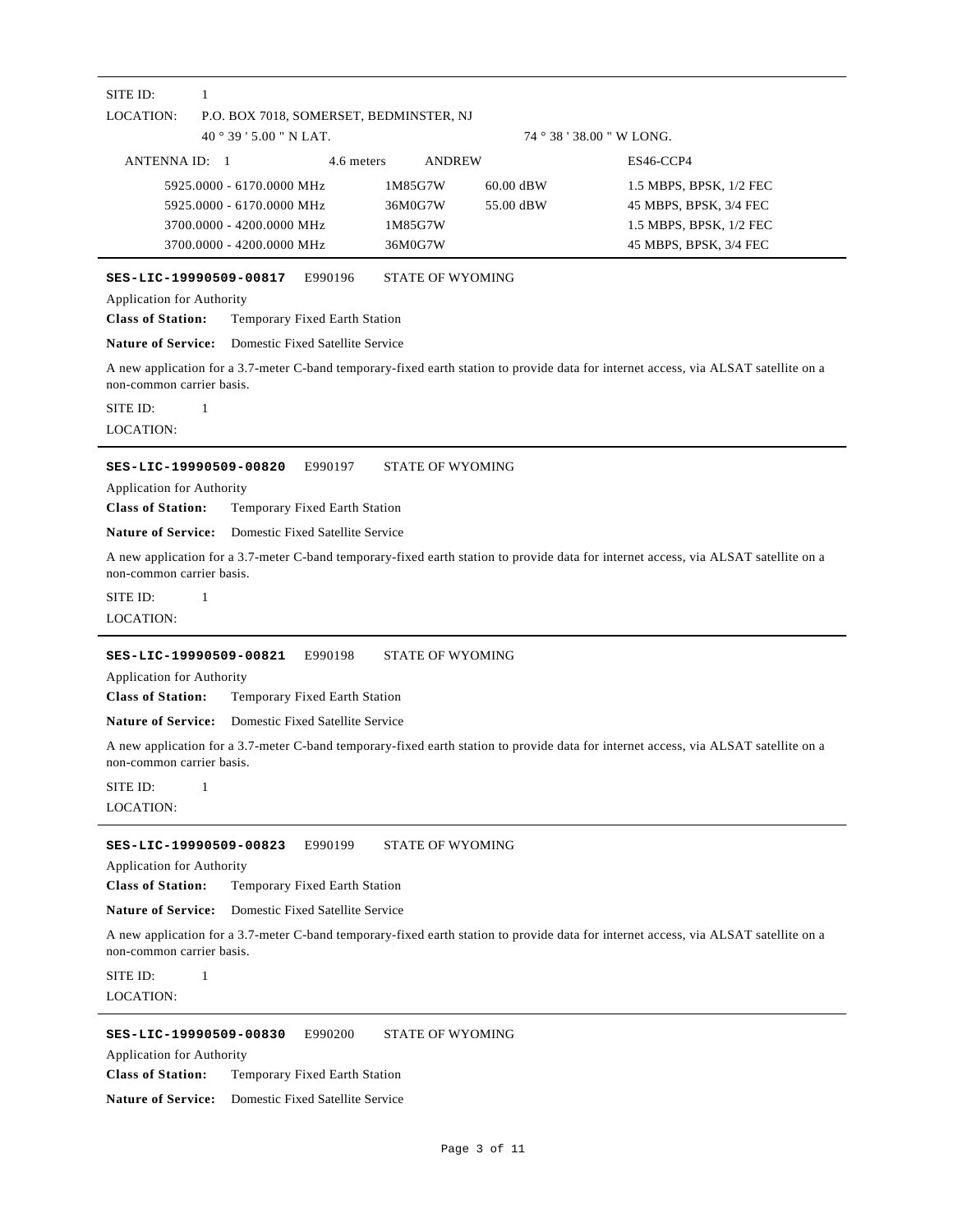## LOCATION: 40 ° 39 ' 5.00 " N LAT. SITE ID: 1 P.O. BOX 7018, SOMERSET, BEDMINSTER, NJ 74 ° 38 ' 38.00 " W LONG. ANTENNA ID: 1 4.6 meters ANDREW ES46-CCP4 5925.0000 - 6170.0000 MHz 1M85G7W 60.00 dBW 1.5 MBPS, BPSK, 1/2 FEC 5925.0000 - 6170.0000 MHz 36M0G7W 55.00 dBW 45 MBPS, BPSK, 3/4 FEC 3700.0000 - 4200.0000 MHz 1M85G7W 1.5 MBPS, BPSK, 1/2 FEC 3700.0000 - 4200.0000 MHz 36M0G7W 45 MBPS, BPSK, 3/4 FEC **SES-LIC-19990509-00817** E990196 STATE OF WYOMING **Class of Station:** Temporary Fixed Earth Station Application for Authority **Nature of Service:** Domestic Fixed Satellite Service A new application for a 3.7-meter C-band temporary-fixed earth station to provide data for internet access, via ALSAT satellite on a non-common carrier basis. LOCATION: SITE ID: 1 **SES-LIC-19990509-00820** E990197 STATE OF WYOMING **Class of Station:** Temporary Fixed Earth Station Application for Authority **Nature of Service:** Domestic Fixed Satellite Service A new application for a 3.7-meter C-band temporary-fixed earth station to provide data for internet access, via ALSAT satellite on a non-common carrier basis. LOCATION: SITE ID: 1 **SES-LIC-19990509-00821** E990198 STATE OF WYOMING **Class of Station:** Temporary Fixed Earth Station Application for Authority **Nature of Service:** Domestic Fixed Satellite Service A new application for a 3.7-meter C-band temporary-fixed earth station to provide data for internet access, via ALSAT satellite on a non-common carrier basis. LOCATION:  $SITE ID: 1$ **SES-LIC-19990509-00823** E990199 STATE OF WYOMING **Class of Station:** Temporary Fixed Earth Station Application for Authority **Nature of Service:** Domestic Fixed Satellite Service A new application for a 3.7-meter C-band temporary-fixed earth station to provide data for internet access, via ALSAT satellite on a non-common carrier basis. LOCATION: SITE ID: 1 **SES-LIC-19990509-00830** E990200 STATE OF WYOMING Application for Authority

**Class of Station:** Temporary Fixed Earth Station

**Nature of Service:** Domestic Fixed Satellite Service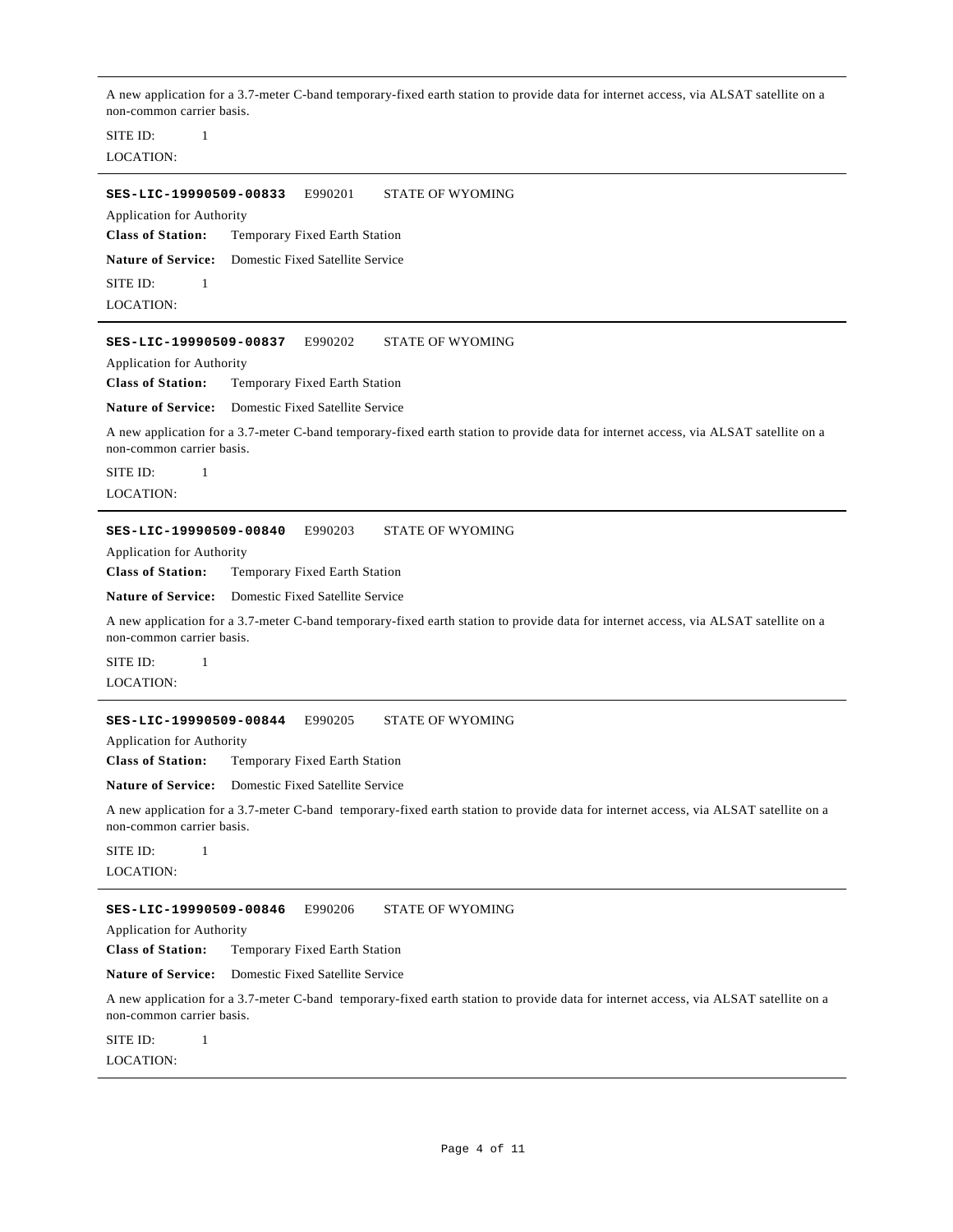A new application for a 3.7-meter C-band temporary-fixed earth station to provide data for internet access, via ALSAT satellite on a non-common carrier basis.

LOCATION: SITE ID: 1

**SES-LIC-19990509-00833** E990201 STATE OF WYOMING

Application for Authority

**Class of Station:** Temporary Fixed Earth Station

**Nature of Service:** Domestic Fixed Satellite Service

LOCATION: SITE ID: 1

**SES-LIC-19990509-00837** E990202 STATE OF WYOMING

Application for Authority

**Class of Station:** Temporary Fixed Earth Station

**Nature of Service:** Domestic Fixed Satellite Service

A new application for a 3.7-meter C-band temporary-fixed earth station to provide data for internet access, via ALSAT satellite on a non-common carrier basis.

LOCATION: SITE ID: 1

#### **SES-LIC-19990509-00840** E990203 STATE OF WYOMING

Application for Authority

**Class of Station:** Temporary Fixed Earth Station

**Nature of Service:** Domestic Fixed Satellite Service

A new application for a 3.7-meter C-band temporary-fixed earth station to provide data for internet access, via ALSAT satellite on a non-common carrier basis.

LOCATION: SITE ID: 1

#### **SES-LIC-19990509-00844** E990205 STATE OF WYOMING

Application for Authority

**Class of Station:** Temporary Fixed Earth Station

**Nature of Service:** Domestic Fixed Satellite Service

A new application for a 3.7-meter C-band temporary-fixed earth station to provide data for internet access, via ALSAT satellite on a non-common carrier basis.

LOCATION: SITE ID: 1

#### **SES-LIC-19990509-00846** E990206 STATE OF WYOMING

Application for Authority

**Class of Station:** Temporary Fixed Earth Station

**Nature of Service:** Domestic Fixed Satellite Service

A new application for a 3.7-meter C-band temporary-fixed earth station to provide data for internet access, via ALSAT satellite on a non-common carrier basis.

LOCATION: SITE ID: 1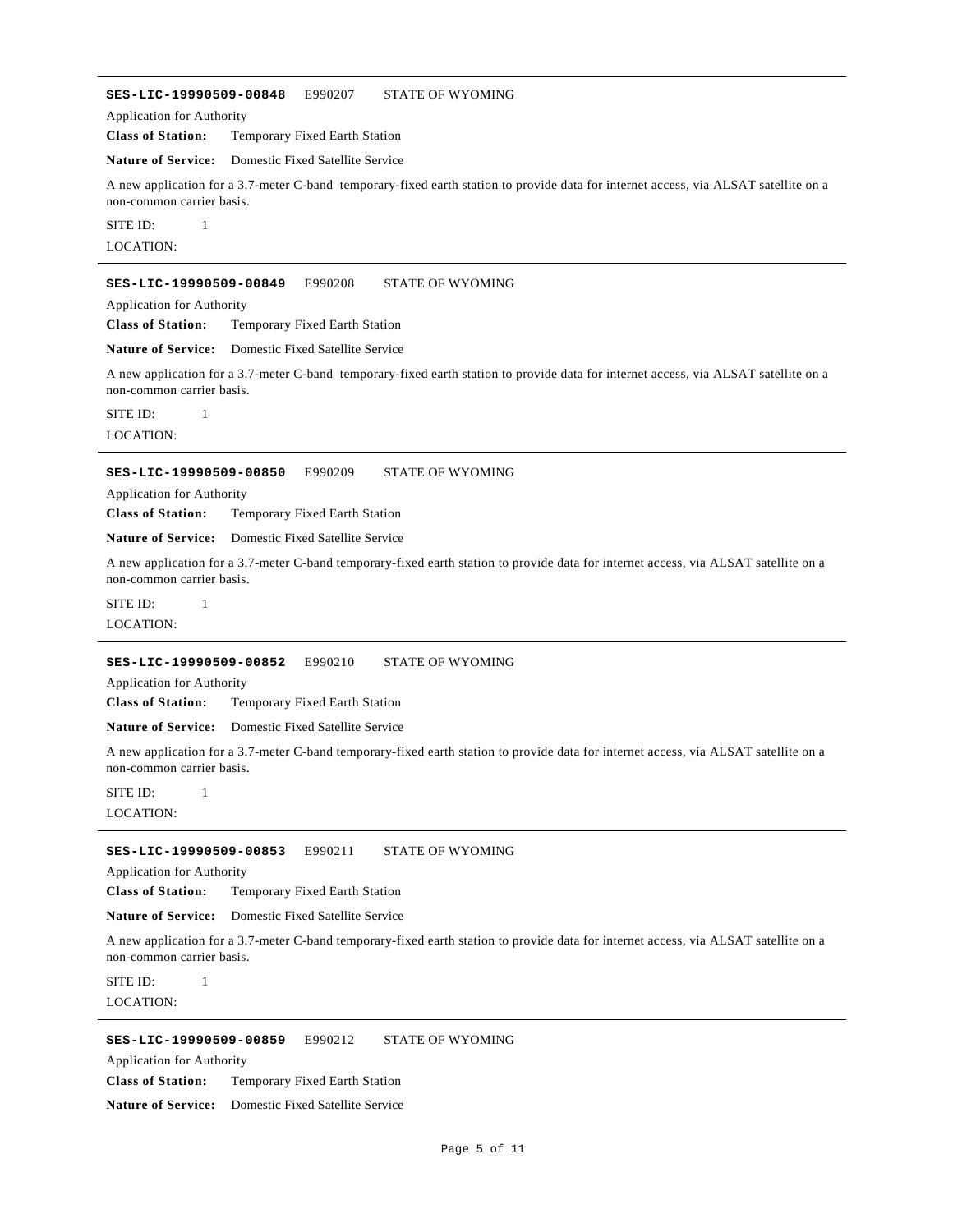**SES-LIC-19990509-00848** E990207 STATE OF WYOMING **Class of Station:** Temporary Fixed Earth Station Application for Authority **Nature of Service:** Domestic Fixed Satellite Service A new application for a 3.7-meter C-band temporary-fixed earth station to provide data for internet access, via ALSAT satellite on a non-common carrier basis. LOCATION: SITE ID: 1 **SES-LIC-19990509-00849** E990208 STATE OF WYOMING **Class of Station:** Temporary Fixed Earth Station Application for Authority **Nature of Service:** Domestic Fixed Satellite Service A new application for a 3.7-meter C-band temporary-fixed earth station to provide data for internet access, via ALSAT satellite on a non-common carrier basis. LOCATION: SITE ID: 1 **SES-LIC-19990509-00850** E990209 STATE OF WYOMING **Class of Station:** Temporary Fixed Earth Station Application for Authority **Nature of Service:** Domestic Fixed Satellite Service A new application for a 3.7-meter C-band temporary-fixed earth station to provide data for internet access, via ALSAT satellite on a non-common carrier basis. LOCATION:  $SITE ID: 1$ **SES-LIC-19990509-00852** E990210 STATE OF WYOMING **Class of Station:** Temporary Fixed Earth Station Application for Authority **Nature of Service:** Domestic Fixed Satellite Service A new application for a 3.7-meter C-band temporary-fixed earth station to provide data for internet access, via ALSAT satellite on a non-common carrier basis. LOCATION: SITE ID: 1 **SES-LIC-19990509-00853** E990211 STATE OF WYOMING **Class of Station:** Temporary Fixed Earth Station Application for Authority

**Nature of Service:** Domestic Fixed Satellite Service

A new application for a 3.7-meter C-band temporary-fixed earth station to provide data for internet access, via ALSAT satellite on a non-common carrier basis.

LOCATION: SITE ID: 1

#### **SES-LIC-19990509-00859** E990212 STATE OF WYOMING

Application for Authority

**Class of Station:** Temporary Fixed Earth Station

#### **Nature of Service:** Domestic Fixed Satellite Service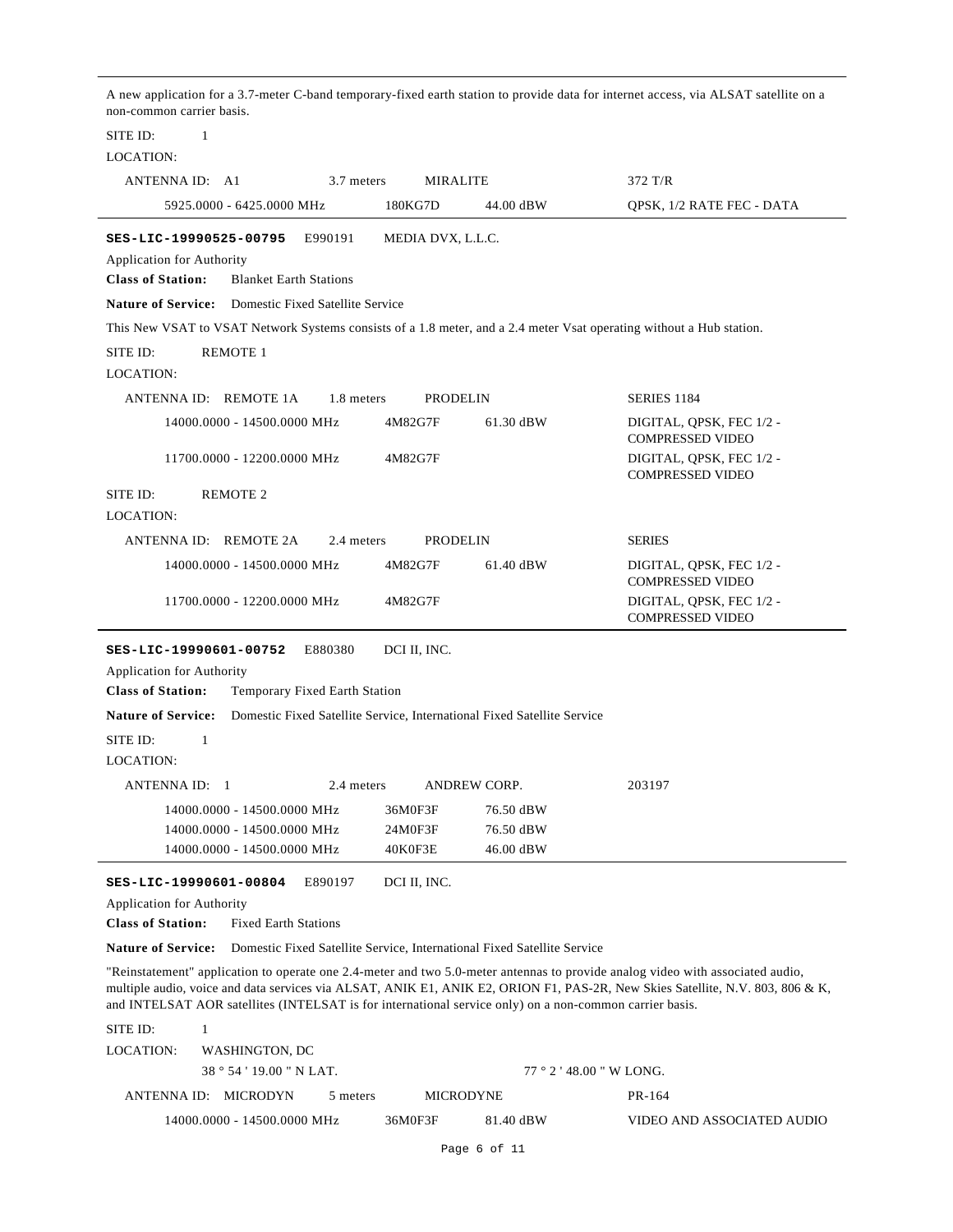A new application for a 3.7-meter C-band temporary-fixed earth station to provide data for internet access, via ALSAT satellite on a non-common carrier basis. LOCATION: SITE ID: 1 ANTENNA ID: A1 3.7 meters MIRALITE 372 T/R 5925.0000 - 6425.0000 MHz 180KG7D 44.00 dBW QPSK, 1/2 RATE FEC - DATA **SES-LIC-19990525-00795** E990191 MEDIA DVX, L.L.C. **Class of Station:** Blanket Earth Stations Application for Authority **Nature of Service:** Domestic Fixed Satellite Service This New VSAT to VSAT Network Systems consists of a 1.8 meter, and a 2.4 meter Vsat operating without a Hub station. LOCATION: SITE ID: REMOTE 1 ANTENNA ID: REMOTE 1A 1.8 meters PRODELIN SERIES 1184 4M82G7F 61.30 dBW DIGITAL, QPSK, FEC 1/2 -COMPRESSED VIDEO 14000.0000 - 14500.0000 MHz 4M82G7F DIGITAL, QPSK, FEC 1/2 -COMPRESSED VIDEO 11700.0000 - 12200.0000 MHz LOCATION: SITE ID: REMOTE 2 ANTENNA ID: REMOTE 2A 2.4 meters PRODELIN SERIES 4M82G7F 61.40 dBW DIGITAL, QPSK, FEC 1/2 -COMPRESSED VIDEO 14000.0000 - 14500.0000 MHz 4M82G7F DIGITAL, QPSK, FEC 1/2 - COMPRESSED VIDEO 11700.0000 - 12200.0000 MHz **SES-LIC-19990601-00752** E880380 DCI II, INC. **Class of Station:** Temporary Fixed Earth Station Application for Authority **Nature of Service:** Domestic Fixed Satellite Service, International Fixed Satellite Service LOCATION:  $SITE ID: 1$ ANTENNA ID: 1 2.4 meters ANDREW CORP. 203197 14000.0000 - 14500.0000 MHz 36M0F3F 76.50 dBW 14000.0000 - 14500.0000 MHz 24M0F3F 76.50 dBW 14000.0000 - 14500.0000 MHz 40K0F3E 46.00 dBW **SES-LIC-19990601-00804** E890197 DCI II, INC. **Class of Station:** Fixed Earth Stations Application for Authority **Nature of Service:** Domestic Fixed Satellite Service, International Fixed Satellite Service "Reinstatement" application to operate one 2.4-meter and two 5.0-meter antennas to provide analog video with associated audio, multiple audio, voice and data services via ALSAT, ANIK E1, ANIK E2, ORION F1, PAS-2R, New Skies Satellite, N.V. 803, 806 & K, and INTELSAT AOR satellites (INTELSAT is for international service only) on a non-common carrier basis. LOCATION: SITE ID: 1 WASHINGTON, DC

| 38°54'19.00"N LAT. |                      |                             | $77°2'$ 48.00 " W LONG. |                  |           |                            |
|--------------------|----------------------|-----------------------------|-------------------------|------------------|-----------|----------------------------|
|                    | ANTENNA ID: MICRODYN |                             | 5 meters                | <b>MICRODYNE</b> |           | PR-164                     |
|                    |                      | 14000.0000 - 14500.0000 MHz |                         | 36M0F3F          | 81.40 dBW | VIDEO AND ASSOCIATED AUDIO |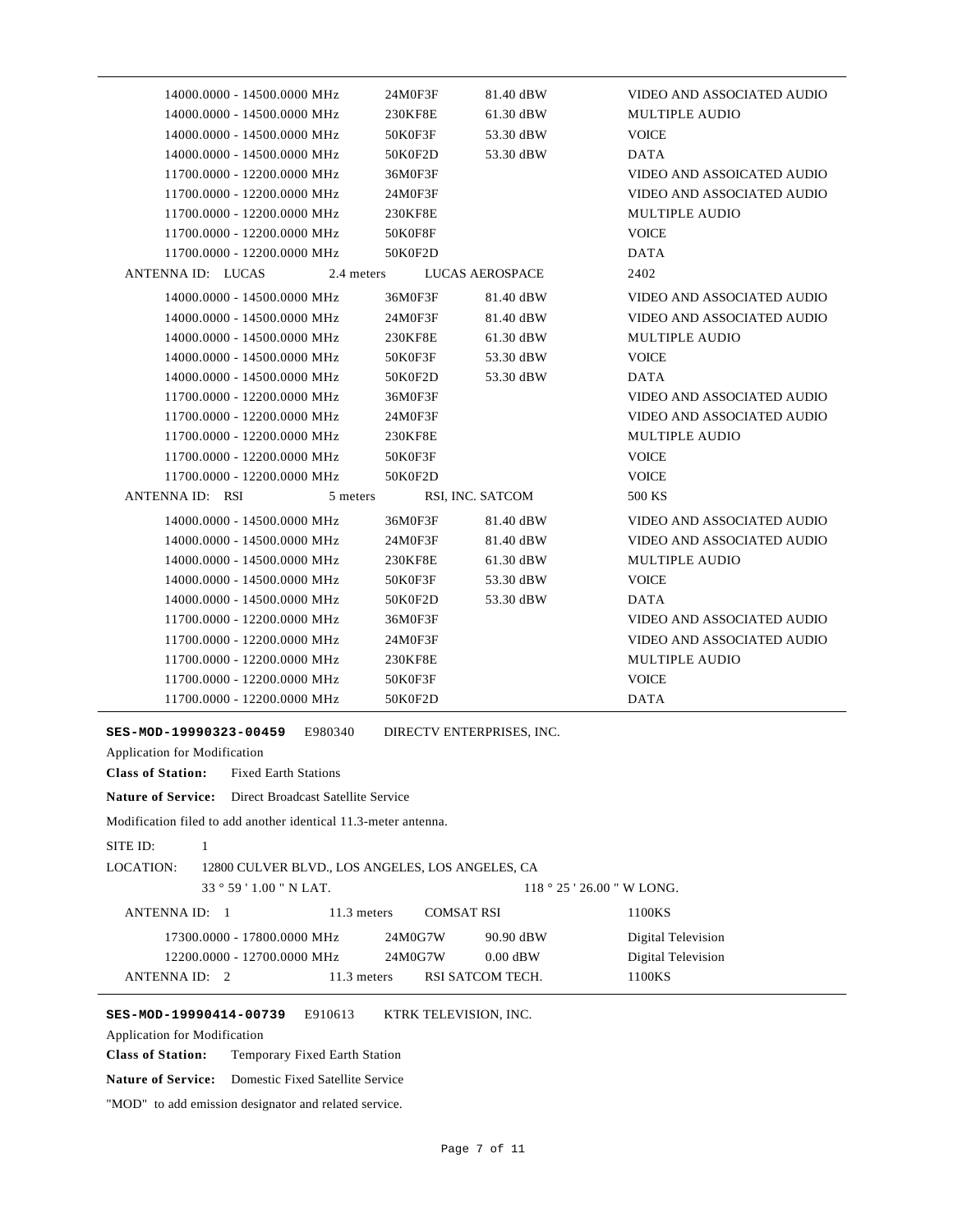|                   | 14000.0000 - 14500.0000 MHz |            | 24M0F3F | 81.40 dBW              | VIDEO AND ASSOCIATED AUDIO        |
|-------------------|-----------------------------|------------|---------|------------------------|-----------------------------------|
|                   | 14000.0000 - 14500.0000 MHz |            | 230KF8E | 61.30 dBW              | <b>MULTIPLE AUDIO</b>             |
|                   | 14000.0000 - 14500.0000 MHz |            | 50K0F3F | 53.30 dBW              | <b>VOICE</b>                      |
|                   | 14000.0000 - 14500.0000 MHz |            | 50K0F2D | 53.30 dBW              | <b>DATA</b>                       |
|                   | 11700.0000 - 12200.0000 MHz |            | 36M0F3F |                        | <b>VIDEO AND ASSOICATED AUDIO</b> |
|                   | 11700.0000 - 12200.0000 MHz |            | 24M0F3F |                        | VIDEO AND ASSOCIATED AUDIO        |
|                   | 11700.0000 - 12200.0000 MHz |            | 230KF8E |                        | <b>MULTIPLE AUDIO</b>             |
|                   | 11700.0000 - 12200.0000 MHz |            | 50K0F8F |                        | <b>VOICE</b>                      |
|                   | 11700.0000 - 12200.0000 MHz |            | 50K0F2D |                        | <b>DATA</b>                       |
| ANTENNA ID: LUCAS |                             | 2.4 meters |         | <b>LUCAS AEROSPACE</b> | 2402                              |
|                   | 14000.0000 - 14500.0000 MHz |            | 36M0F3F | 81.40 dBW              | VIDEO AND ASSOCIATED AUDIO        |
|                   | 14000.0000 - 14500.0000 MHz |            | 24M0F3F | 81.40 dBW              | VIDEO AND ASSOCIATED AUDIO        |
|                   | 14000.0000 - 14500.0000 MHz |            | 230KF8E | 61.30 dBW              | <b>MULTIPLE AUDIO</b>             |
|                   | 14000.0000 - 14500.0000 MHz |            | 50K0F3F | 53.30 dBW              | <b>VOICE</b>                      |
|                   | 14000.0000 - 14500.0000 MHz |            | 50K0F2D | 53.30 dBW              | <b>DATA</b>                       |
|                   | 11700.0000 - 12200.0000 MHz |            | 36M0F3F |                        | VIDEO AND ASSOCIATED AUDIO        |
|                   | 11700.0000 - 12200.0000 MHz |            | 24M0F3F |                        | VIDEO AND ASSOCIATED AUDIO        |
|                   | 11700.0000 - 12200.0000 MHz |            | 230KF8E |                        | <b>MULTIPLE AUDIO</b>             |
|                   | 11700.0000 - 12200.0000 MHz |            | 50K0F3F |                        | <b>VOICE</b>                      |
|                   | 11700.0000 - 12200.0000 MHz |            | 50K0F2D |                        | <b>VOICE</b>                      |
| ANTENNA ID: RSI   |                             | 5 meters   |         | RSI, INC. SATCOM       | 500 KS                            |
|                   | 14000.0000 - 14500.0000 MHz |            | 36M0F3F | 81.40 dBW              | <b>VIDEO AND ASSOCIATED AUDIO</b> |
|                   | 14000.0000 - 14500.0000 MHz |            | 24M0F3F | 81.40 dBW              | VIDEO AND ASSOCIATED AUDIO        |
|                   | 14000.0000 - 14500.0000 MHz |            | 230KF8E | 61.30 dBW              | <b>MULTIPLE AUDIO</b>             |
|                   | 14000.0000 - 14500.0000 MHz |            | 50K0F3F | 53.30 dBW              | <b>VOICE</b>                      |
|                   | 14000.0000 - 14500.0000 MHz |            | 50K0F2D | 53.30 dBW              | <b>DATA</b>                       |
|                   | 11700.0000 - 12200.0000 MHz |            | 36M0F3F |                        | VIDEO AND ASSOCIATED AUDIO        |
|                   | 11700.0000 - 12200.0000 MHz |            | 24M0F3F |                        | VIDEO AND ASSOCIATED AUDIO        |
|                   | 11700.0000 - 12200.0000 MHz |            | 230KF8E |                        | <b>MULTIPLE AUDIO</b>             |
|                   | 11700.0000 - 12200.0000 MHz |            | 50K0F3F |                        | <b>VOICE</b>                      |
|                   | 11700.0000 - 12200.0000 MHz |            | 50K0F2D |                        | <b>DATA</b>                       |
|                   |                             |            |         |                        |                                   |

**SES-MOD-19990323-00459** E980340 DIRECTV ENTERPRISES, INC.

Application for Modification

**Class of Station:** Fixed Earth Stations

**Nature of Service:** Direct Broadcast Satellite Service

Modification filed to add another identical 11.3-meter antenna.

```
SITE ID: 1
```
LOCATION: 12800 CULVER BLVD., LOS ANGELES, LOS ANGELES, CA

| $33^{\circ}59'1.00''$ N LAT. |             |                   | $118°25'26.00''$ W LONG. |                    |
|------------------------------|-------------|-------------------|--------------------------|--------------------|
| ANTENNA ID: 1                | 11.3 meters | <b>COMSAT RSI</b> |                          | 1100KS             |
| 17300.0000 - 17800.0000 MHz  |             | 24M0G7W           | 90.90 dBW                | Digital Television |
| 12200.0000 - 12700.0000 MHz  |             | 24M0G7W           | $0.00$ dBW               | Digital Television |
| ANTENNA ID: 2                | 11.3 meters | RSI SATCOM TECH.  |                          | 1100KS             |

**SES-MOD-19990414-00739** E910613 KTRK TELEVISION, INC.

Application for Modification

**Class of Station:** Temporary Fixed Earth Station

**Nature of Service:** Domestic Fixed Satellite Service

"MOD" to add emission designator and related service.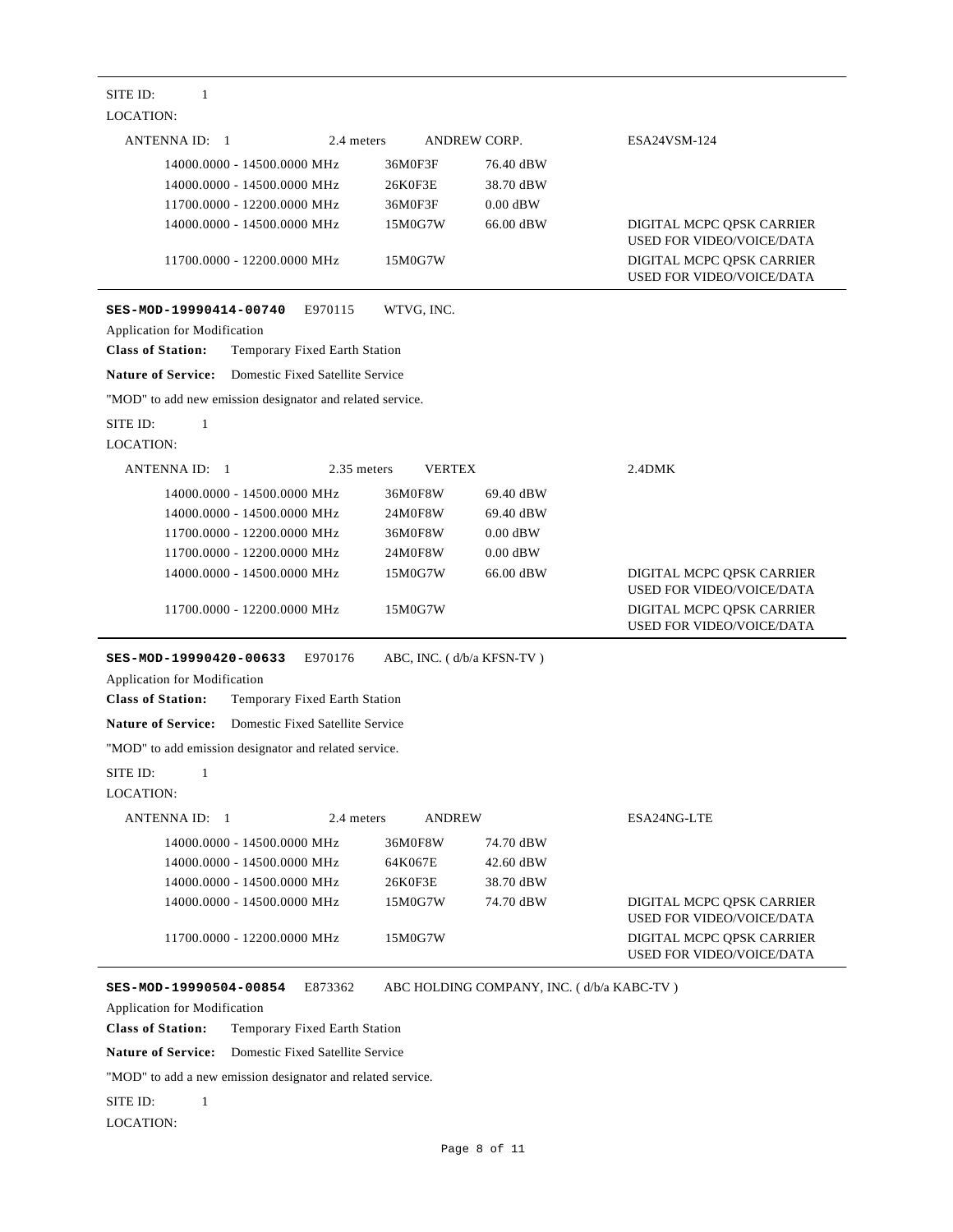| SITE ID:<br>1<br><b>LOCATION:</b>                                                                                                     |                           |                                           |                                                                                                   |
|---------------------------------------------------------------------------------------------------------------------------------------|---------------------------|-------------------------------------------|---------------------------------------------------------------------------------------------------|
| ANTENNA ID: 1<br>2.4 meters                                                                                                           | ANDREW CORP.              |                                           | ESA24VSM-124                                                                                      |
| 14000.0000 - 14500.0000 MHz<br>14000.0000 - 14500.0000 MHz                                                                            | 36M0F3F<br>26K0F3E        | 76.40 dBW<br>38.70 dBW                    |                                                                                                   |
| 11700.0000 - 12200.0000 MHz<br>14000.0000 - 14500.0000 MHz                                                                            | 36M0F3F<br>15M0G7W        | $0.00$ dBW<br>66.00 dBW                   | DIGITAL MCPC QPSK CARRIER<br><b>USED FOR VIDEO/VOICE/DATA</b>                                     |
| 11700.0000 - 12200.0000 MHz                                                                                                           | 15M0G7W                   |                                           | DIGITAL MCPC OPSK CARRIER<br>USED FOR VIDEO/VOICE/DATA                                            |
| E970115<br>SES-MOD-19990414-00740<br><b>Application for Modification</b><br><b>Class of Station:</b><br>Temporary Fixed Earth Station | WTVG, INC.                |                                           |                                                                                                   |
| <b>Nature of Service:</b><br>Domestic Fixed Satellite Service                                                                         |                           |                                           |                                                                                                   |
| "MOD" to add new emission designator and related service.                                                                             |                           |                                           |                                                                                                   |
| SITE ID:<br>$\mathbf{1}$<br><b>LOCATION:</b>                                                                                          |                           |                                           |                                                                                                   |
| ANTENNA ID: 1<br>2.35 meters                                                                                                          | <b>VERTEX</b>             |                                           | 2.4DMK                                                                                            |
| 14000.0000 - 14500.0000 MHz                                                                                                           | 36M0F8W                   | 69.40 dBW                                 |                                                                                                   |
| 14000.0000 - 14500.0000 MHz                                                                                                           | 24M0F8W                   | 69.40 dBW                                 |                                                                                                   |
| 11700.0000 - 12200.0000 MHz                                                                                                           | 36M0F8W                   | $0.00$ dBW                                |                                                                                                   |
| 11700.0000 - 12200.0000 MHz                                                                                                           | 24M0F8W                   | $0.00$ dBW                                |                                                                                                   |
| 14000.0000 - 14500.0000 MHz                                                                                                           | 15M0G7W                   | 66.00 dBW                                 | DIGITAL MCPC QPSK CARRIER                                                                         |
| 11700.0000 - 12200.0000 MHz                                                                                                           | 15M0G7W                   |                                           | <b>USED FOR VIDEO/VOICE/DATA</b><br>DIGITAL MCPC QPSK CARRIER<br><b>USED FOR VIDEO/VOICE/DATA</b> |
| SES-MOD-19990420-00633<br>E970176<br>Application for Modification<br><b>Class of Station:</b><br>Temporary Fixed Earth Station        | ABC, INC. (d/b/a KFSN-TV) |                                           |                                                                                                   |
| Domestic Fixed Satellite Service<br><b>Nature of Service:</b>                                                                         |                           |                                           |                                                                                                   |
| "MOD" to add emission designator and related service.                                                                                 |                           |                                           |                                                                                                   |
| SITE ID:<br>$\mathbf{1}$                                                                                                              |                           |                                           |                                                                                                   |
| <b>LOCATION:</b>                                                                                                                      |                           |                                           |                                                                                                   |
| 2.4 meters<br>ANTENNA ID: 1                                                                                                           | <b>ANDREW</b>             |                                           | ESA24NG-LTE                                                                                       |
| 14000.0000 - 14500.0000 MHz                                                                                                           | 36M0F8W                   | 74.70 dBW                                 |                                                                                                   |
| 14000.0000 - 14500.0000 MHz                                                                                                           | 64K067E                   | 42.60 dBW                                 |                                                                                                   |
| 14000.0000 - 14500.0000 MHz                                                                                                           | 26K0F3E                   | 38.70 dBW                                 |                                                                                                   |
| 14000.0000 - 14500.0000 MHz                                                                                                           | 15M0G7W                   | 74.70 dBW                                 | DIGITAL MCPC QPSK CARRIER<br><b>USED FOR VIDEO/VOICE/DATA</b>                                     |
| 11700.0000 - 12200.0000 MHz                                                                                                           | 15M0G7W                   |                                           | DIGITAL MCPC QPSK CARRIER<br><b>USED FOR VIDEO/VOICE/DATA</b>                                     |
| E873362<br>SES-MOD-19990504-00854                                                                                                     |                           | ABC HOLDING COMPANY, INC. (d/b/a KABC-TV) |                                                                                                   |

Application for Modification

**Class of Station:** Temporary Fixed Earth Station

**Nature of Service:** Domestic Fixed Satellite Service

"MOD" to add a new emission designator and related service.

SITE ID: 1

LOCATION: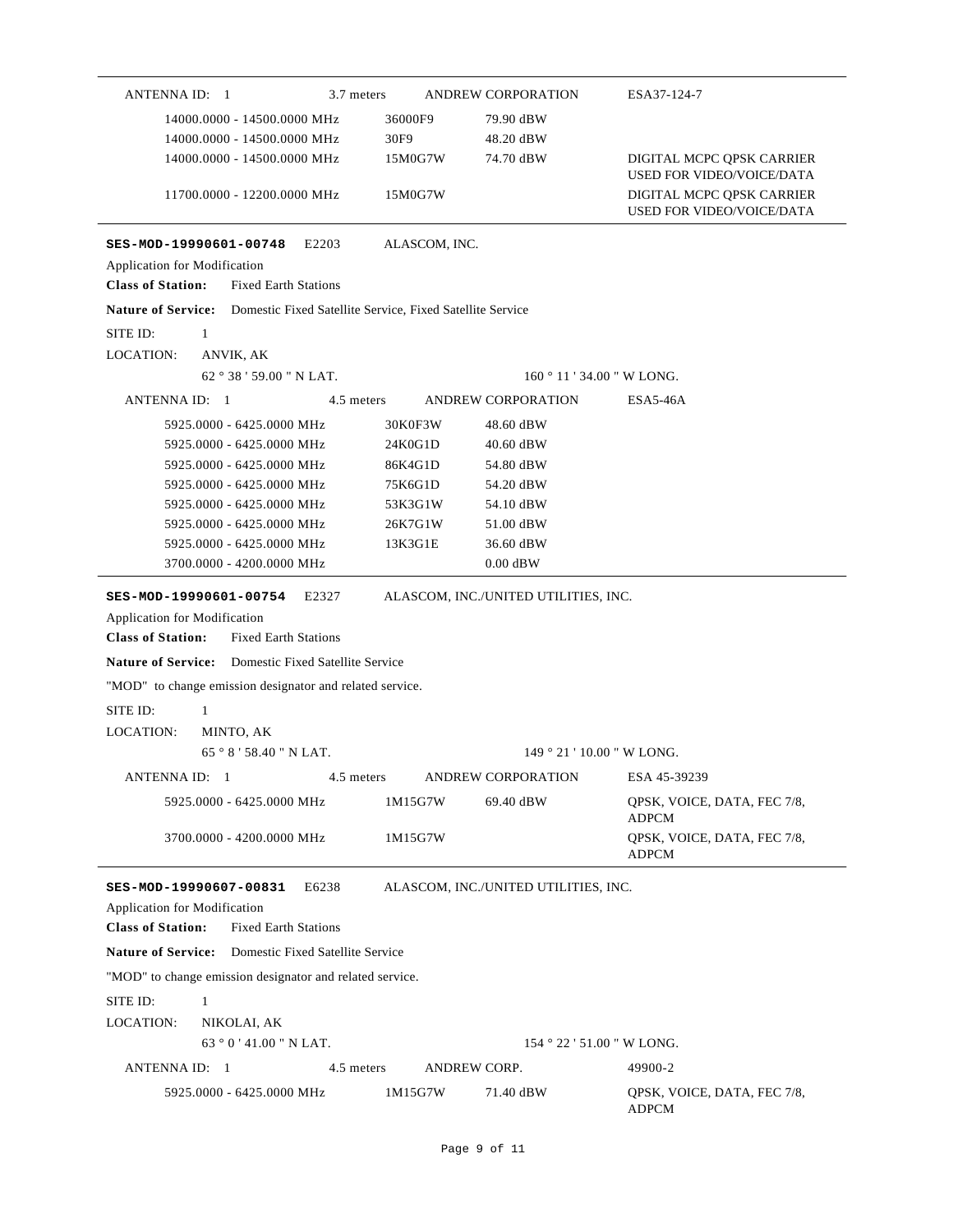| ANTENNA ID: 1<br>3.7 meters                                                                                                                        |               | ANDREW CORPORATION                         | ESA37-124-7                                                   |
|----------------------------------------------------------------------------------------------------------------------------------------------------|---------------|--------------------------------------------|---------------------------------------------------------------|
| 14000.0000 - 14500.0000 MHz                                                                                                                        | 36000F9       | 79.90 dBW                                  |                                                               |
| 14000.0000 - 14500.0000 MHz                                                                                                                        | 30F9          | 48.20 dBW                                  |                                                               |
| 14000.0000 - 14500.0000 MHz                                                                                                                        | 15M0G7W       | 74.70 dBW                                  | DIGITAL MCPC QPSK CARRIER<br><b>USED FOR VIDEO/VOICE/DATA</b> |
| 11700.0000 - 12200.0000 MHz                                                                                                                        | 15M0G7W       |                                            | DIGITAL MCPC OPSK CARRIER<br><b>USED FOR VIDEO/VOICE/DATA</b> |
| SES-MOD-19990601-00748<br>E2203                                                                                                                    | ALASCOM, INC. |                                            |                                                               |
| Application for Modification                                                                                                                       |               |                                            |                                                               |
| <b>Class of Station:</b><br><b>Fixed Earth Stations</b>                                                                                            |               |                                            |                                                               |
| Nature of Service: Domestic Fixed Satellite Service, Fixed Satellite Service                                                                       |               |                                            |                                                               |
| SITE ID:<br>$\mathbf{1}$                                                                                                                           |               |                                            |                                                               |
| LOCATION:<br>ANVIK, AK                                                                                                                             |               |                                            |                                                               |
| 62°38'59.00" N LAT.                                                                                                                                |               |                                            | 160 ° 11 ' 34.00 " W LONG.                                    |
| ANTENNA ID: 1<br>4.5 meters                                                                                                                        |               | ANDREW CORPORATION                         | ESA5-46A                                                      |
| 5925.0000 - 6425.0000 MHz                                                                                                                          | 30K0F3W       | 48.60 dBW                                  |                                                               |
| 5925.0000 - 6425.0000 MHz                                                                                                                          | 24K0G1D       | 40.60 dBW                                  |                                                               |
| 5925.0000 - 6425.0000 MHz                                                                                                                          | 86K4G1D       | 54.80 dBW                                  |                                                               |
| 5925,0000 - 6425,0000 MHz                                                                                                                          | 75K6G1D       | 54.20 dBW                                  |                                                               |
| 5925.0000 - 6425.0000 MHz                                                                                                                          | 53K3G1W       | 54.10 dBW                                  |                                                               |
| 5925.0000 - 6425.0000 MHz                                                                                                                          | 26K7G1W       | 51.00 dBW                                  |                                                               |
| 5925.0000 - 6425.0000 MHz                                                                                                                          | 13K3G1E       | 36.60 dBW                                  |                                                               |
| 3700.0000 - 4200.0000 MHz                                                                                                                          |               | $0.00$ dBW                                 |                                                               |
| <b>Nature of Service:</b> Domestic Fixed Satellite Service<br>"MOD" to change emission designator and related service.<br>SITE ID:<br>$\mathbf{1}$ |               |                                            |                                                               |
| LOCATION:<br>MINTO, AK<br>65°8'58.40"N LAT.                                                                                                        |               |                                            |                                                               |
|                                                                                                                                                    |               |                                            | $149°21'10.00''$ W LONG.                                      |
| ANTENNA ID: 1                                                                                                                                      |               | 4.5 meters ANDREW CORPORATION ESA 45-39239 |                                                               |
| 5925.0000 - 6425.0000 MHz                                                                                                                          | 1M15G7W       | 69.40 dBW                                  | OPSK, VOICE, DATA, FEC 7/8,<br><b>ADPCM</b>                   |
| 3700.0000 - 4200.0000 MHz                                                                                                                          | 1M15G7W       |                                            | QPSK, VOICE, DATA, FEC 7/8,<br>ADPCM                          |
| SES-MOD-19990607-00831<br>E6238                                                                                                                    |               | ALASCOM, INC./UNITED UTILITIES, INC.       |                                                               |
| Application for Modification<br><b>Class of Station:</b><br><b>Fixed Earth Stations</b>                                                            |               |                                            |                                                               |
| <b>Nature of Service:</b> Domestic Fixed Satellite Service                                                                                         |               |                                            |                                                               |
|                                                                                                                                                    |               |                                            |                                                               |
|                                                                                                                                                    |               |                                            |                                                               |
|                                                                                                                                                    |               |                                            |                                                               |
| "MOD" to change emission designator and related service.<br>SITE ID:<br>$\mathbf{1}$                                                               |               |                                            |                                                               |
| LOCATION:<br>NIKOLAI, AK                                                                                                                           |               |                                            |                                                               |
| $63°0'41.00''$ N LAT.                                                                                                                              |               |                                            | 154 ° 22 ' 51.00 " W LONG.                                    |
| ANTENNA ID: 1<br>4.5 meters                                                                                                                        |               | ANDREW CORP.                               | 49900-2                                                       |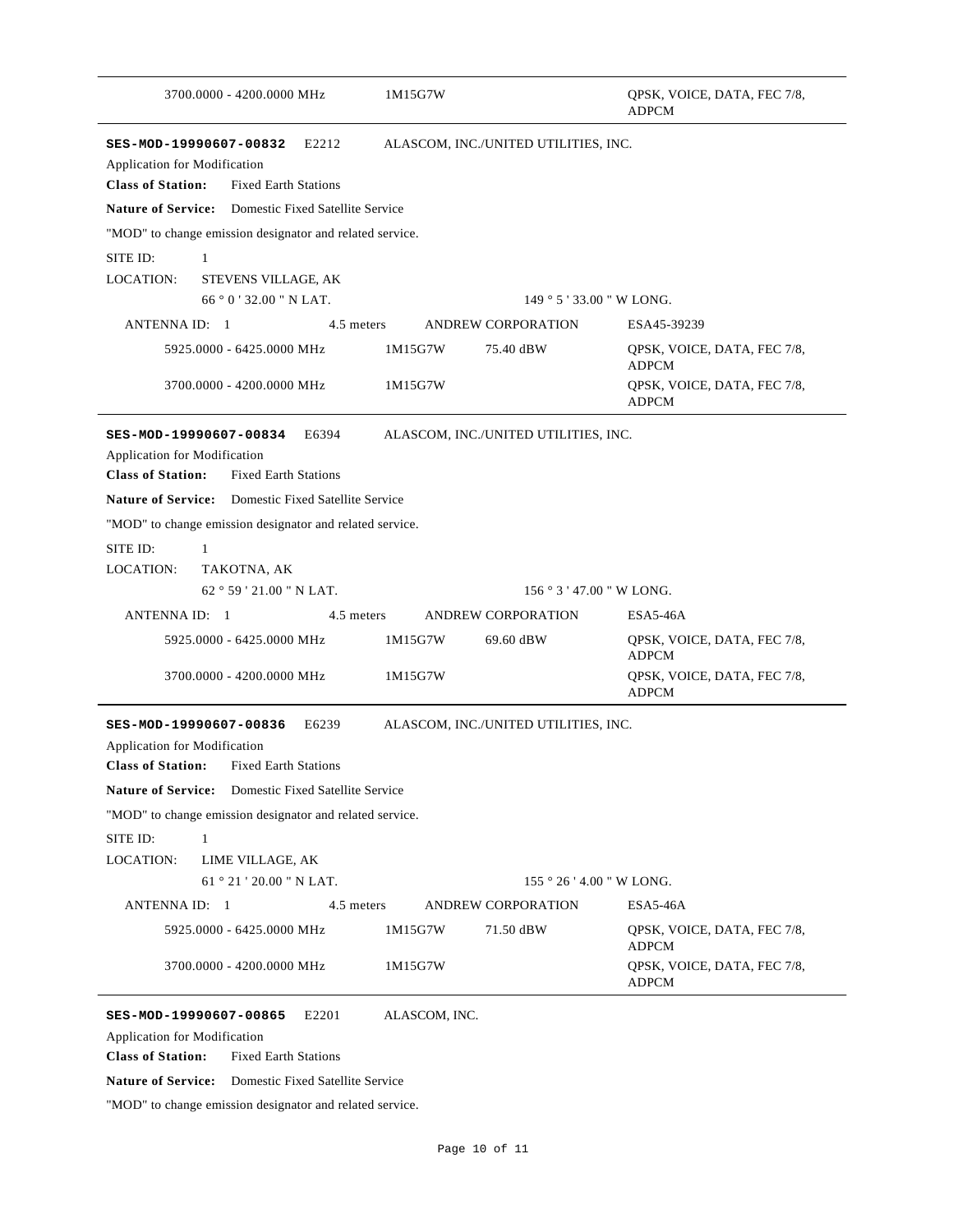| 3700.0000 - 4200.0000 MHz                                                                                                                                                                            | 1M15G7W                              | QPSK, VOICE, DATA, FEC 7/8,<br><b>ADPCM</b>                                |
|------------------------------------------------------------------------------------------------------------------------------------------------------------------------------------------------------|--------------------------------------|----------------------------------------------------------------------------|
| E2212<br>SES-MOD-19990607-00832<br><b>Application for Modification</b><br><b>Class of Station:</b><br><b>Fixed Earth Stations</b>                                                                    | ALASCOM, INC./UNITED UTILITIES, INC. |                                                                            |
| <b>Nature of Service:</b> Domestic Fixed Satellite Service                                                                                                                                           |                                      |                                                                            |
| "MOD" to change emission designator and related service.                                                                                                                                             |                                      |                                                                            |
| SITE ID:<br>1                                                                                                                                                                                        |                                      |                                                                            |
| <b>LOCATION:</b><br>STEVENS VILLAGE, AK                                                                                                                                                              |                                      |                                                                            |
| $66$ $^{\circ}$ 0 $^{\prime}$ 32.00 " N LAT.                                                                                                                                                         |                                      | 149 ° 5 ' 33.00 " W LONG.                                                  |
| ANTENNA ID: 1<br>4.5 meters                                                                                                                                                                          | ANDREW CORPORATION                   | ESA45-39239                                                                |
| 5925.0000 - 6425.0000 MHz                                                                                                                                                                            | 1M15G7W<br>75.40 dBW                 | QPSK, VOICE, DATA, FEC 7/8,<br><b>ADPCM</b>                                |
| 3700.0000 - 4200.0000 MHz                                                                                                                                                                            | 1M15G7W                              | QPSK, VOICE, DATA, FEC 7/8,<br><b>ADPCM</b>                                |
| SES-MOD-19990607-00834<br>E6394<br>Application for Modification<br><b>Class of Station:</b><br><b>Fixed Earth Stations</b>                                                                           | ALASCOM, INC./UNITED UTILITIES, INC. |                                                                            |
| <b>Nature of Service:</b> Domestic Fixed Satellite Service                                                                                                                                           |                                      |                                                                            |
| "MOD" to change emission designator and related service.                                                                                                                                             |                                      |                                                                            |
| SITE ID:<br>1                                                                                                                                                                                        |                                      |                                                                            |
| LOCATION:<br>TAKOTNA, AK                                                                                                                                                                             |                                      |                                                                            |
| 62°59'21.00" N LAT.                                                                                                                                                                                  |                                      | 156 ° 3 ' 47.00 " W LONG.                                                  |
| ANTENNA ID: 1<br>4.5 meters                                                                                                                                                                          | ANDREW CORPORATION                   | ESA5-46A                                                                   |
| 5925.0000 - 6425.0000 MHz<br>3700.0000 - 4200.0000 MHz                                                                                                                                               | 69.60 dBW<br>1M15G7W<br>1M15G7W      | QPSK, VOICE, DATA, FEC 7/8,<br><b>ADPCM</b><br>QPSK, VOICE, DATA, FEC 7/8, |
|                                                                                                                                                                                                      |                                      | <b>ADPCM</b>                                                               |
| SES-MOD-19990607-00836<br>E6239<br><b>Application for Modification</b><br><b>Class of Station:</b><br><b>Fixed Earth Stations</b>                                                                    | ALASCOM, INC./UNITED UTILITIES, INC. |                                                                            |
| Nature of Service: Domestic Fixed Satellite Service                                                                                                                                                  |                                      |                                                                            |
| "MOD" to change emission designator and related service.                                                                                                                                             |                                      |                                                                            |
| SITE ID:<br>1                                                                                                                                                                                        |                                      |                                                                            |
| LOCATION:<br>LIME VILLAGE, AK                                                                                                                                                                        |                                      |                                                                            |
| 61 ° 21 ' 20.00 " N LAT.                                                                                                                                                                             |                                      | 155 ° 26 ' 4.00 " W LONG.                                                  |
| <b>ANTENNA ID: 1</b><br>4.5 meters                                                                                                                                                                   | <b>ANDREW CORPORATION</b>            | ESA5-46A                                                                   |
| 5925.0000 - 6425.0000 MHz                                                                                                                                                                            | 1M15G7W<br>71.50 dBW                 | QPSK, VOICE, DATA, FEC 7/8,<br><b>ADPCM</b>                                |
| 3700.0000 - 4200.0000 MHz                                                                                                                                                                            | 1M15G7W                              | QPSK, VOICE, DATA, FEC 7/8,<br>ADPCM                                       |
| SES-MOD-19990607-00865<br>E <sub>2201</sub><br><b>Application for Modification</b><br><b>Class of Station:</b><br><b>Fixed Earth Stations</b><br>Nature of Service: Domestic Fixed Satellite Service | ALASCOM, INC.                        |                                                                            |
| "MOD" to change emission designator and related service.                                                                                                                                             |                                      |                                                                            |